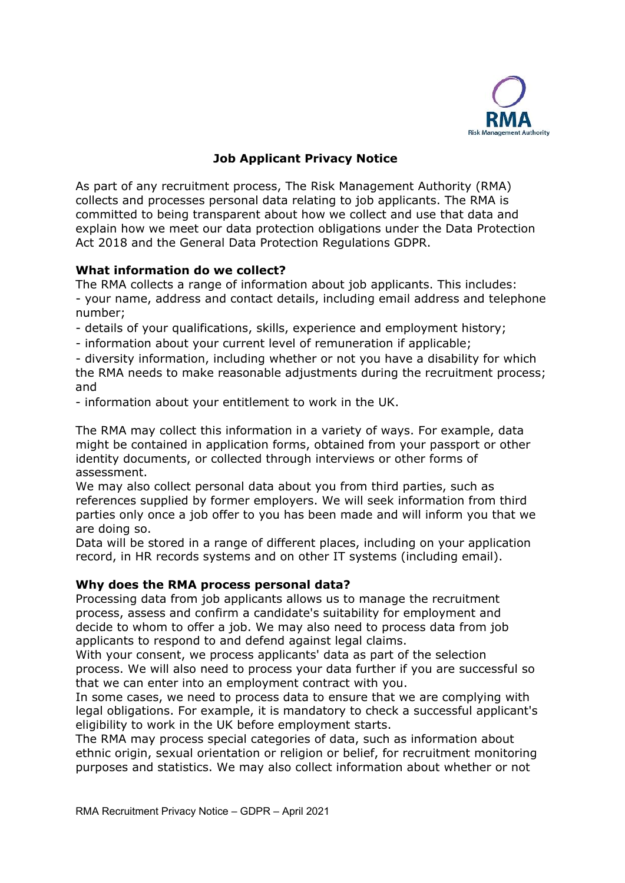

# **Job Applicant Privacy Notice**

As part of any recruitment process, The Risk Management Authority (RMA) collects and processes personal data relating to job applicants. The RMA is committed to being transparent about how we collect and use that data and explain how we meet our data protection obligations under the Data Protection Act 2018 and the General Data Protection Regulations GDPR.

## **What information do we collect?**

The RMA collects a range of information about job applicants. This includes: - your name, address and contact details, including email address and telephone number;

- details of your qualifications, skills, experience and employment history;
- information about your current level of remuneration if applicable;

- diversity information, including whether or not you have a disability for which the RMA needs to make reasonable adjustments during the recruitment process; and

- information about your entitlement to work in the UK.

The RMA may collect this information in a variety of ways. For example, data might be contained in application forms, obtained from your passport or other identity documents, or collected through interviews or other forms of assessment.

We may also collect personal data about you from third parties, such as references supplied by former employers. We will seek information from third parties only once a job offer to you has been made and will inform you that we are doing so.

Data will be stored in a range of different places, including on your application record, in HR records systems and on other IT systems (including email).

#### **Why does the RMA process personal data?**

Processing data from job applicants allows us to manage the recruitment process, assess and confirm a candidate's suitability for employment and decide to whom to offer a job. We may also need to process data from job applicants to respond to and defend against legal claims.

With your consent, we process applicants' data as part of the selection process. We will also need to process your data further if you are successful so that we can enter into an employment contract with you.

In some cases, we need to process data to ensure that we are complying with legal obligations. For example, it is mandatory to check a successful applicant's eligibility to work in the UK before employment starts.

The RMA may process special categories of data, such as information about ethnic origin, sexual orientation or religion or belief, for recruitment monitoring purposes and statistics. We may also collect information about whether or not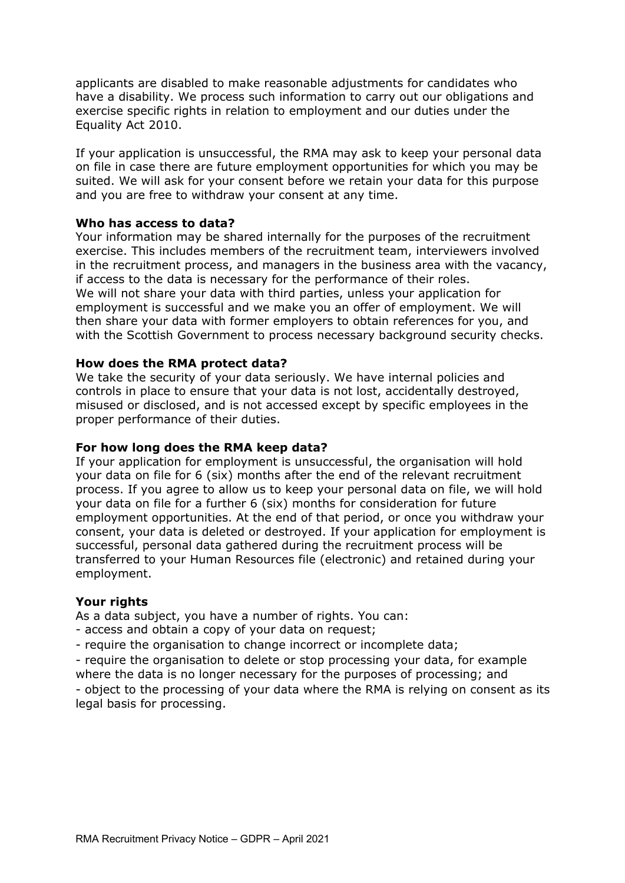applicants are disabled to make reasonable adjustments for candidates who have a disability. We process such information to carry out our obligations and exercise specific rights in relation to employment and our duties under the Equality Act 2010.

If your application is unsuccessful, the RMA may ask to keep your personal data on file in case there are future employment opportunities for which you may be suited. We will ask for your consent before we retain your data for this purpose and you are free to withdraw your consent at any time.

### **Who has access to data?**

Your information may be shared internally for the purposes of the recruitment exercise. This includes members of the recruitment team, interviewers involved in the recruitment process, and managers in the business area with the vacancy, if access to the data is necessary for the performance of their roles. We will not share your data with third parties, unless your application for employment is successful and we make you an offer of employment. We will then share your data with former employers to obtain references for you, and with the Scottish Government to process necessary background security checks.

#### **How does the RMA protect data?**

We take the security of your data seriously. We have internal policies and controls in place to ensure that your data is not lost, accidentally destroyed, misused or disclosed, and is not accessed except by specific employees in the proper performance of their duties.

### **For how long does the RMA keep data?**

If your application for employment is unsuccessful, the organisation will hold your data on file for 6 (six) months after the end of the relevant recruitment process. If you agree to allow us to keep your personal data on file, we will hold your data on file for a further 6 (six) months for consideration for future employment opportunities. At the end of that period, or once you withdraw your consent, your data is deleted or destroyed. If your application for employment is successful, personal data gathered during the recruitment process will be transferred to your Human Resources file (electronic) and retained during your employment.

#### **Your rights**

As a data subject, you have a number of rights. You can:

- access and obtain a copy of your data on request;
- require the organisation to change incorrect or incomplete data;

- require the organisation to delete or stop processing your data, for example where the data is no longer necessary for the purposes of processing; and

- object to the processing of your data where the RMA is relying on consent as its legal basis for processing.